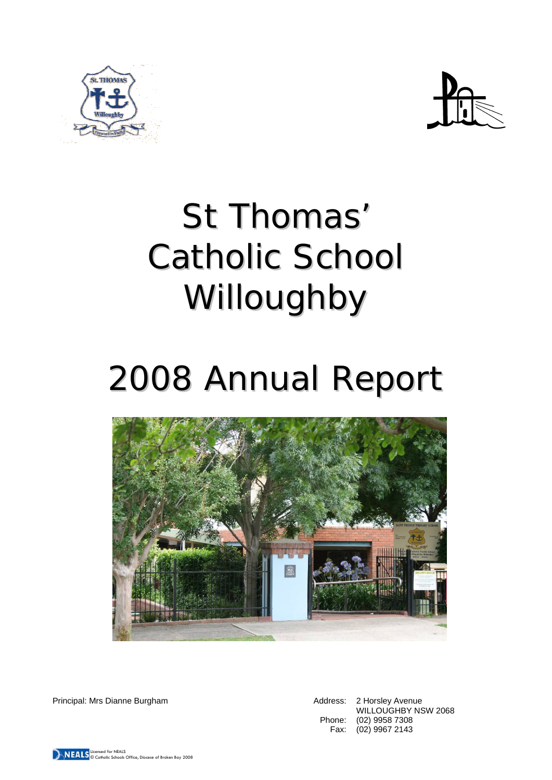



# St Thomas' Catholic School Willoughby

# 2008 Annual Report



Principal: Mrs Dianne Burgham Address: 2 Horsley Avenue

WILLOUGHBY NSW 2068 Phone: (02) 9958 7308 Fax: (02) 9967 2143

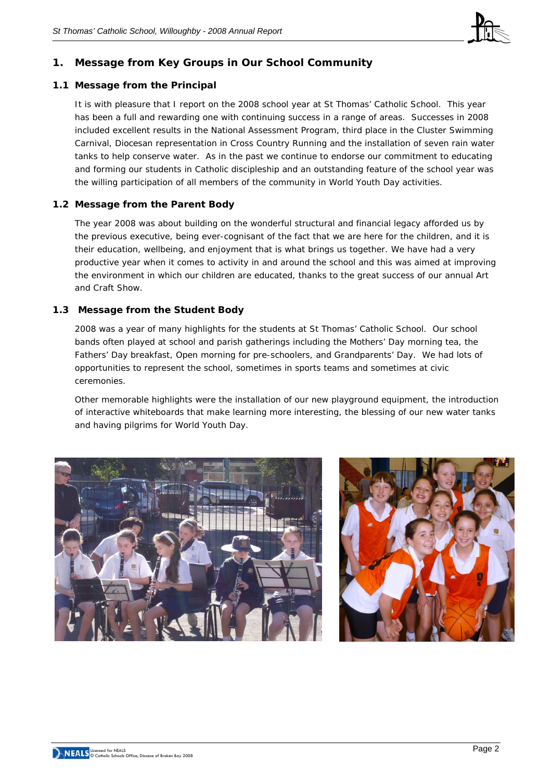

# **1. Message from Key Groups in Our School Community**

# **1.1 Message from the Principal**

It is with pleasure that I report on the 2008 school year at St Thomas' Catholic School. This year has been a full and rewarding one with continuing success in a range of areas. Successes in 2008 included excellent results in the National Assessment Program, third place in the Cluster Swimming Carnival, Diocesan representation in Cross Country Running and the installation of seven rain water tanks to help conserve water. As in the past we continue to endorse our commitment to educating and forming our students in Catholic discipleship and an outstanding feature of the school year was the willing participation of all members of the community in World Youth Day activities.

# **1.2 Message from the Parent Body**

The year 2008 was about building on the wonderful structural and financial legacy afforded us by the previous executive, being ever-cognisant of the fact that we are here for the children, and it is their education, wellbeing, and enjoyment that is what brings us together. We have had a very productive year when it comes to activity in and around the school and this was aimed at improving the environment in which our children are educated, thanks to the great success of our annual Art and Craft Show.

# **1.3 Message from the Student Body**

2008 was a year of many highlights for the students at St Thomas' Catholic School. Our school bands often played at school and parish gatherings including the Mothers' Day morning tea, the Fathers' Day breakfast, Open morning for pre-schoolers, and Grandparents' Day. We had lots of opportunities to represent the school, sometimes in sports teams and sometimes at civic ceremonies.

Other memorable highlights were the installation of our new playground equipment, the introduction of interactive whiteboards that make learning more interesting, the blessing of our new water tanks and having pilgrims for World Youth Day.



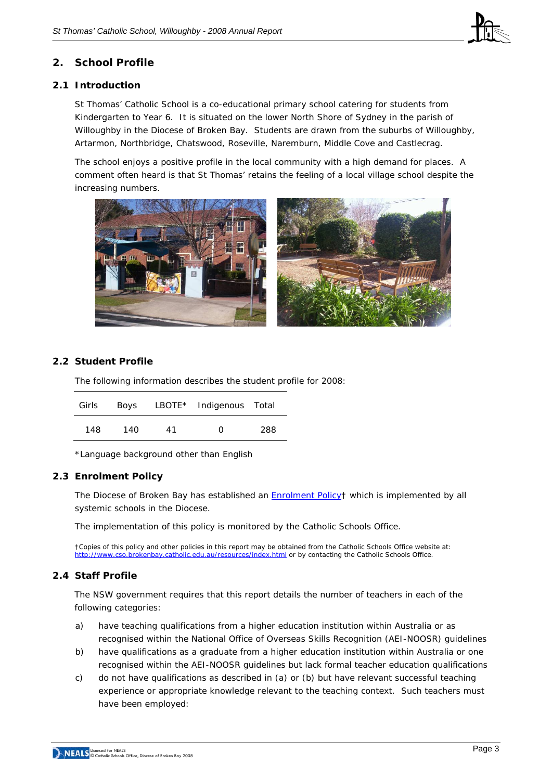

# **2. School Profile**

# **2.1 Introduction**

St Thomas' Catholic School is a co-educational primary school catering for students from Kindergarten to Year 6. It is situated on the lower North Shore of Sydney in the parish of Willoughby in the Diocese of Broken Bay. Students are drawn from the suburbs of Willoughby, Artarmon, Northbridge, Chatswood, Roseville, Naremburn, Middle Cove and Castlecrag.

The school enjoys a positive profile in the local community with a high demand for places. A comment often heard is that St Thomas' retains the feeling of a local village school despite the increasing numbers.



# **2.2 Student Profile**

The following information describes the student profile for 2008:

| Girls | Boys |    | LBOTE* Indigenous Total |     |
|-------|------|----|-------------------------|-----|
| 148   | 140  | 41 | ∩                       | 288 |

\*Language background other than English

#### **2.3 Enrolment Policy**

The Diocese of Broken Bay has established an [Enrolment Policy](http://www.cso.brokenbay.catholic.edu.au/resources/pdfs/Policy-Enrolment_Apr2006.pdf)† which is implemented by all systemic schools in the Diocese.

The implementation of this policy is monitored by the Catholic Schools Office.

†Copies of this policy and other policies in this report may be obtained from the Catholic Schools Office website at: <http://www.cso.brokenbay.catholic.edu.au/resources/index.html> or by contacting the Catholic Schools Office.

# **2.4 Staff Profile**

The NSW government requires that this report details the number of teachers in each of the following categories:

- a) have teaching qualifications from a higher education institution within Australia or as recognised within the National Office of Overseas Skills Recognition (AEI-NOOSR) guidelines
- b) have qualifications as a graduate from a higher education institution within Australia or one recognised within the AEI-NOOSR guidelines but lack formal teacher education qualifications
- c) do not have qualifications as described in (a) or (b) but have relevant successful teaching experience or appropriate knowledge relevant to the teaching context. Such teachers must have been employed: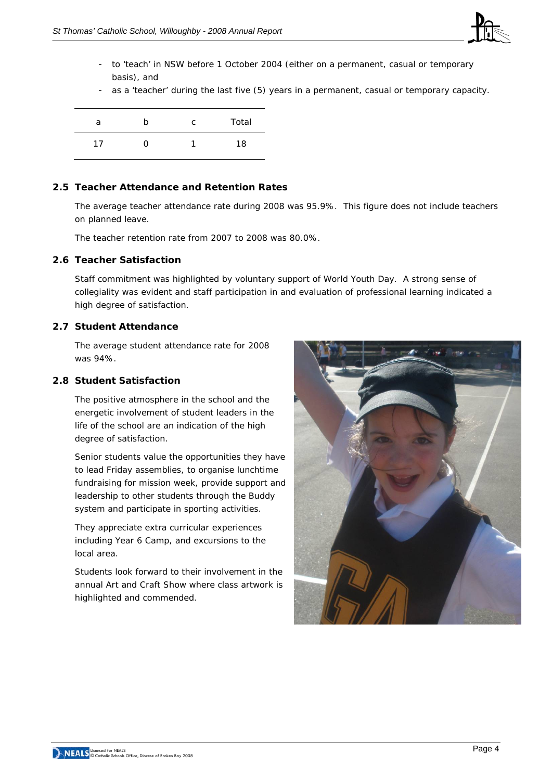

- to 'teach' in NSW before 1 October 2004 (either on a permanent, casual or temporary basis), and
- as a 'teacher' during the last five (5) years in a permanent, casual or temporary capacity.

| a  | n   | C | Total |
|----|-----|---|-------|
| 17 | . . |   | 18    |

# **2.5 Teacher Attendance and Retention Rates**

The average teacher attendance rate during 2008 was 95.9%. This figure does not include teachers on planned leave.

The teacher retention rate from 2007 to 2008 was 80.0%.

#### **2.6 Teacher Satisfaction**

Staff commitment was highlighted by voluntary support of World Youth Day. A strong sense of collegiality was evident and staff participation in and evaluation of professional learning indicated a high degree of satisfaction*.*

#### **2.7 Student Attendance**

The average student attendance rate for 2008 was 94%.

# **2.8 Student Satisfaction**

The positive atmosphere in the school and the energetic involvement of student leaders in the life of the school are an indication of the high degree of satisfaction.

Senior students value the opportunities they have to lead Friday assemblies, to organise lunchtime fundraising for mission week, provide support and leadership to other students through the Buddy system and participate in sporting activities.

They appreciate extra curricular experiences including Year 6 Camp, and excursions to the local area.

Students look forward to their involvement in the annual Art and Craft Show where class artwork is highlighted and commended.

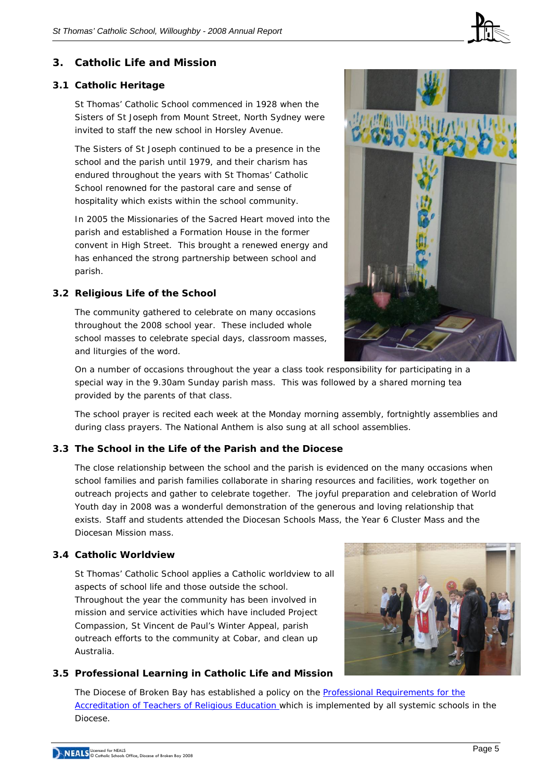

# **3. Catholic Life and Mission**

# **3.1 Catholic Heritage**

St Thomas' Catholic School commenced in 1928 when the Sisters of St Joseph from Mount Street, North Sydney were invited to staff the new school in Horsley Avenue.

The Sisters of St Joseph continued to be a presence in the school and the parish until 1979, and their charism has endured throughout the years with St Thomas' Catholic School renowned for the pastoral care and sense of hospitality which exists within the school community.

In 2005 the Missionaries of the Sacred Heart moved into the parish and established a Formation House in the former convent in High Street. This brought a renewed energy and has enhanced the strong partnership between school and parish.

# **3.2 Religious Life of the School**

The community gathered to celebrate on many occasions throughout the 2008 school year. These included whole school masses to celebrate special days, classroom masses, and liturgies of the word.



On a number of occasions throughout the year a class took responsibility for participating in a special way in the 9.30am Sunday parish mass. This was followed by a shared morning tea provided by the parents of that class.

The school prayer is recited each week at the Monday morning assembly, fortnightly assemblies and during class prayers. The National Anthem is also sung at all school assemblies.

# **3.3 The School in the Life of the Parish and the Diocese**

The close relationship between the school and the parish is evidenced on the many occasions when school families and parish families collaborate in sharing resources and facilities, work together on outreach projects and gather to celebrate together. The joyful preparation and celebration of World Youth day in 2008 was a wonderful demonstration of the generous and loving relationship that exists. Staff and students attended the Diocesan Schools Mass, the Year 6 Cluster Mass and the Diocesan Mission mass.

#### **3.4 Catholic Worldview**

St Thomas' Catholic School applies a Catholic worldview to all aspects of school life and those outside the school. Throughout the year the community has been involved in mission and service activities which have included Project Compassion, St Vincent de Paul's Winter Appeal, parish outreach efforts to the community at Cobar, and clean up Australia.

# **3.5 Professional Learning in Catholic Life and Mission**



The Diocese of Broken Bay has established a policy on the Professional Requirements for the [Accreditation of Teachers of Religious Education](http://www.cso.brokenbay.catholic.edu.au/resources/pdfs/Policy-Rqs_Accrd_Tchrs_RE.pdf) which is implemented by all systemic schools in the Diocese.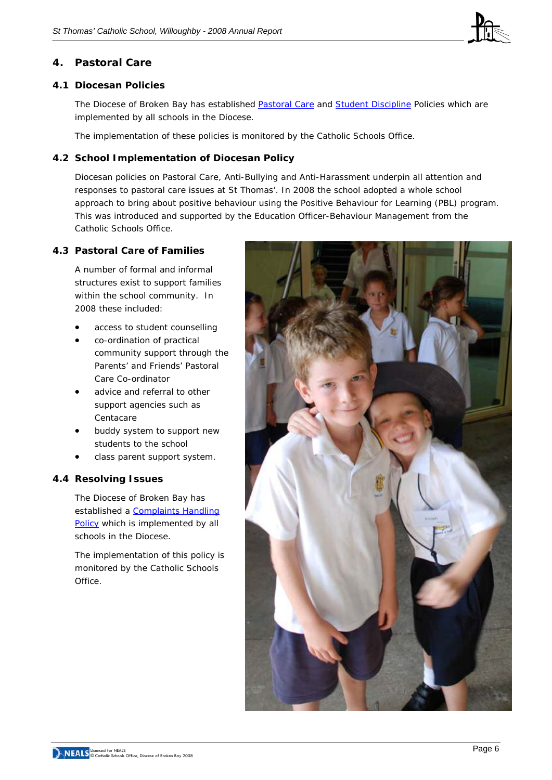

# **4. Pastoral Care**

# **4.1 Diocesan Policies**

The Diocese of Broken Bay has established [Pastoral Care](http://www.cso.brokenbay.catholic.edu.au/resources/pdfs/Policy-Pastoral_Care_Oct05.pdf) and [Student Discipline](http://www.cso.brokenbay.catholic.edu.au/resources/pdfs/Policy_-_Student_Discipline_Policy_Oct05.pdf) Policies which are implemented by all schools in the Diocese.

The implementation of these policies is monitored by the Catholic Schools Office.

# **4.2 School Implementation of Diocesan Policy**

Diocesan policies on Pastoral Care, Anti-Bullying and Anti-Harassment underpin all attention and responses to pastoral care issues at St Thomas'. In 2008 the school adopted a whole school approach to bring about positive behaviour using the Positive Behaviour for Learning (PBL) program. This was introduced and supported by the Education Officer-Behaviour Management from the Catholic Schools Office.

# **4.3 Pastoral Care of Families**

A number of formal and informal structures exist to support families within the school community. In 2008 these included:

- access to student counselling
- co-ordination of practical community support through the Parents' and Friends' Pastoral Care Co-ordinator
- advice and referral to other support agencies such as Centacare
- buddy system to support new students to the school
- class parent support system.

# **4.4 Resolving Issues**

The Diocese of Broken Bay has established a Complaints Handling [Policy](http://www.cso.brokenbay.catholic.edu.au/resources/pdfs/Policy-Complaints_Handling.pdf) which is implemented by all schools in the Diocese.

The implementation of this policy is monitored by the Catholic Schools Office.

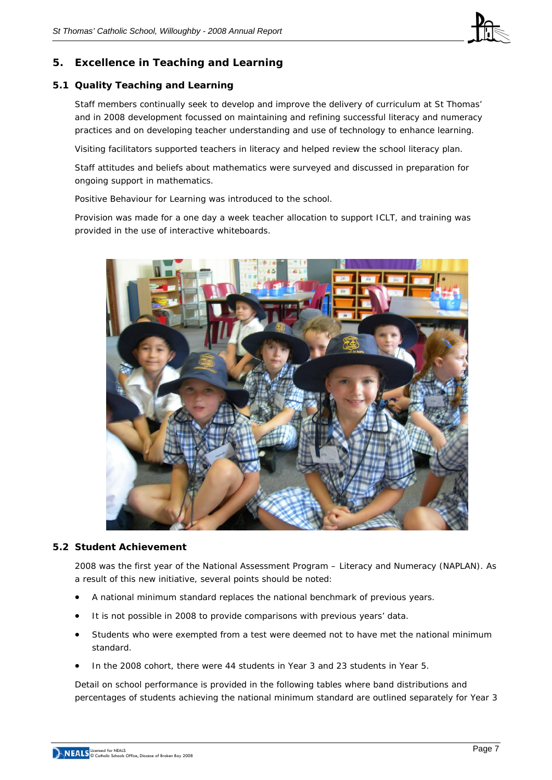![](_page_6_Picture_1.jpeg)

# **5. Excellence in Teaching and Learning**

# **5.1 Quality Teaching and Learning**

Staff members continually seek to develop and improve the delivery of curriculum at St Thomas' and in 2008 development focussed on maintaining and refining successful literacy and numeracy practices and on developing teacher understanding and use of technology to enhance learning*.* 

Visiting facilitators supported teachers in literacy and helped review the school literacy plan.

Staff attitudes and beliefs about mathematics were surveyed and discussed in preparation for ongoing support in mathematics.

Positive Behaviour for Learning was introduced to the school.

Provision was made for a one day a week teacher allocation to support ICLT, and training was provided in the use of interactive whiteboards.

![](_page_6_Picture_9.jpeg)

#### **5.2 Student Achievement**

2008 was the first year of the National Assessment Program – Literacy and Numeracy (NAPLAN). As a result of this new initiative, several points should be noted:

- A national minimum standard replaces the national benchmark of previous years.
- It is not possible in 2008 to provide comparisons with previous years' data.
- Students who were exempted from a test were deemed not to have met the national minimum standard.
- In the 2008 cohort, there were 44 students in Year 3 and 23 students in Year 5.

Detail on school performance is provided in the following tables where band distributions and percentages of students achieving the national minimum standard are outlined separately for Year 3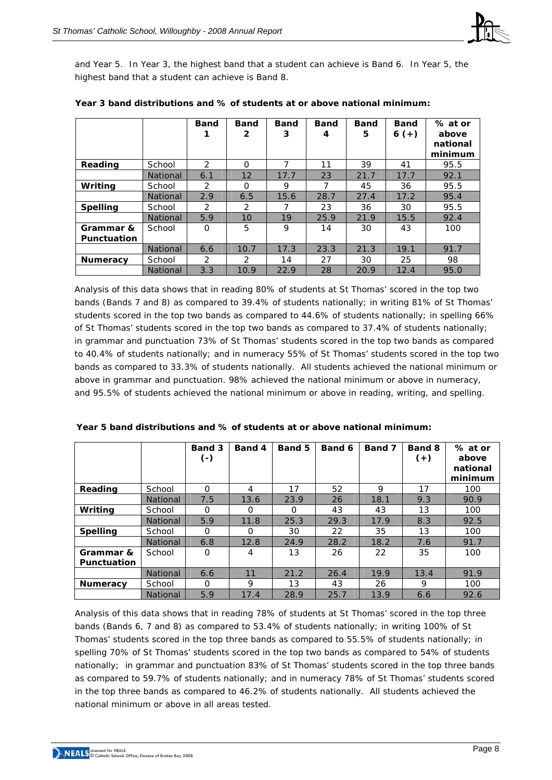![](_page_7_Picture_1.jpeg)

and Year 5. In Year 3, the highest band that a student can achieve is Band 6. In Year 5, the highest band that a student can achieve is Band 8.

|                                 |                 | <b>Band</b>    | <b>Band</b><br>$\mathbf{2}$ | <b>Band</b><br>3 | <b>Band</b><br>4 | <b>Band</b><br>5 | <b>Band</b><br>$6 (+)$ | % at or<br>above<br>national<br>minimum |
|---------------------------------|-----------------|----------------|-----------------------------|------------------|------------------|------------------|------------------------|-----------------------------------------|
| Reading                         | School          | 2              | $\Omega$                    |                  | 11               | 39               | 41                     | 95.5                                    |
|                                 | <b>National</b> | 6.1            | 12                          | 17.7             | 23               | 21.7             | 17.7                   | 92.1                                    |
| Writing                         | School          | 2              | $\Omega$                    | 9                | 7                | 45               | 36                     | 95.5                                    |
|                                 | National        | 2.9            | 6.5                         | 15.6             | 28.7             | 27.4             | 17.2                   | 95.4                                    |
| <b>Spelling</b>                 | School          | $\mathcal{P}$  | $\mathcal{P}$               |                  | 23               | 36               | 30                     | 95.5                                    |
|                                 | <b>National</b> | 5.9            | 10                          | 19               | 25.9             | 21.9             | 15.5                   | 92.4                                    |
| Grammar &<br><b>Punctuation</b> | School          | $\Omega$       | 5                           | 9                | 14               | 30               | 43                     | 100                                     |
|                                 | <b>National</b> | 6.6            | 10.7                        | 17.3             | 23.3             | 21.3             | 19.1                   | 91.7                                    |
| <b>Numeracy</b>                 | School          | $\overline{2}$ | $\mathcal{P}$               | 14               | 27               | 30               | 25                     | 98                                      |
|                                 | <b>National</b> | 3.3            | 10.9                        | 22.9             | 28               | 20.9             | 12.4                   | 95.0                                    |

| Year 3 band distributions and % of students at or above national minimum: |  |  |
|---------------------------------------------------------------------------|--|--|
|                                                                           |  |  |

Analysis of this data shows that in reading 80% of students at St Thomas' scored in the top two bands (Bands 7 and 8) as compared to 39.4% of students nationally; in writing 81% of St Thomas' students scored in the top two bands as compared to 44.6% of students nationally; in spelling 66% of St Thomas' students scored in the top two bands as compared to 37.4% of students nationally; in grammar and punctuation 73% of St Thomas' students scored in the top two bands as compared to 40.4% of students nationally; and in numeracy 55% of St Thomas' students scored in the top two bands as compared to 33.3% of students nationally. All students achieved the national minimum or above in grammar and punctuation. 98% achieved the national minimum or above in numeracy, and 95.5% of students achieved the national minimum or above in reading, writing, and spelling.

|                                 |                 | Band 3<br>$\left( -\right)$ | Band 4   | Band 5 | Band 6 | Band 7 | Band 8<br>$(+)$ | % at or<br>above<br>national<br>minimum |
|---------------------------------|-----------------|-----------------------------|----------|--------|--------|--------|-----------------|-----------------------------------------|
| Reading                         | School          | $\Omega$                    | 4        | 17     | 52     | 9      | 17              | 100                                     |
|                                 | <b>National</b> | 7.5                         | 13.6     | 23.9   | 26     | 18.1   | 9.3             | 90.9                                    |
| Writing                         | School          | $\Omega$                    | $\Omega$ | O      | 43     | 43     | 13              | 100                                     |
|                                 | <b>National</b> | 5.9                         | 11.8     | 25.3   | 29.3   | 17.9   | 8.3             | 92.5                                    |
| <b>Spelling</b>                 | School          | $\Omega$                    | O        | 30     | 22     | 35     | 13              | 100                                     |
|                                 | <b>National</b> | 6.8                         | 12.8     | 24.9   | 28.2   | 18.2   | 7.6             | 91.7                                    |
| Grammar &<br><b>Punctuation</b> | School          | Ω                           | 4        | 13     | 26     | 22     | 35              | 100                                     |
|                                 | <b>National</b> | 6.6                         | 11       | 21.2   | 26.4   | 19.9   | 13.4            | 91.9                                    |
| <b>Numeracy</b>                 | School          | $\Omega$                    | 9        | 13     | 43     | 26     | 9               | 100                                     |
|                                 | <b>National</b> | 5.9                         | 17.4     | 28.9   | 25.7   | 13.9   | 6.6             | 92.6                                    |

| Year 5 band distributions and % of students at or above national minimum: |
|---------------------------------------------------------------------------|
|---------------------------------------------------------------------------|

Analysis of this data shows that in reading 78% of students at St Thomas' scored in the top three bands (Bands 6, 7 and 8) as compared to 53.4% of students nationally; in writing 100% of St Thomas' students scored in the top three bands as compared to 55.5% of students nationally; in spelling 70% of St Thomas' students scored in the top two bands as compared to 54% of students nationally; in grammar and punctuation 83% of St Thomas' students scored in the top three bands as compared to 59.7% of students nationally; and in numeracy 78% of St Thomas' students scored in the top three bands as compared to 46.2% of students nationally. All students achieved the national minimum or above in all areas tested.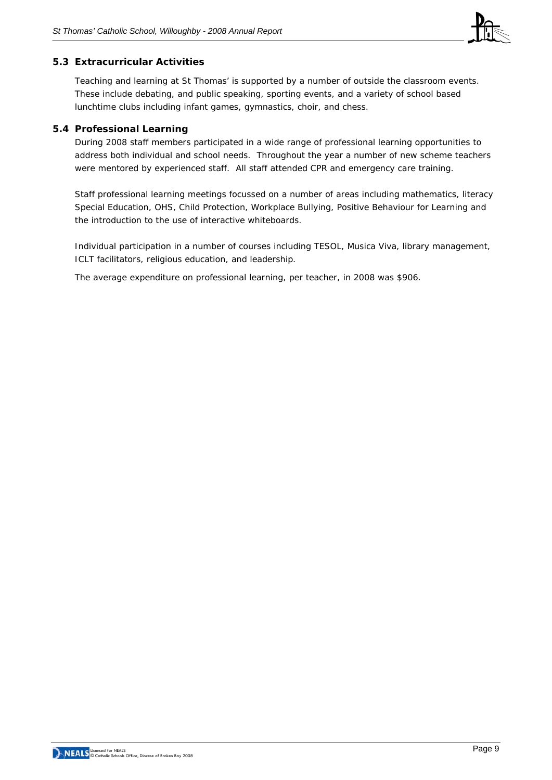![](_page_8_Picture_1.jpeg)

#### **5.3 Extracurricular Activities**

Teaching and learning at St Thomas' is supported by a number of outside the classroom events. These include debating, and public speaking, sporting events, and a variety of school based lunchtime clubs including infant games, gymnastics, choir, and chess.

#### **5.4 Professional Learning**

During 2008 staff members participated in a wide range of professional learning opportunities to address both individual and school needs. Throughout the year a number of new scheme teachers were mentored by experienced staff. All staff attended CPR and emergency care training.

Staff professional learning meetings focussed on a number of areas including mathematics, literacy Special Education, OHS, Child Protection, Workplace Bullying, Positive Behaviour for Learning and the introduction to the use of interactive whiteboards.

Individual participation in a number of courses including TESOL, Musica Viva, library management, ICLT facilitators, religious education, and leadership.

The average expenditure on professional learning, per teacher, in 2008 was \$906.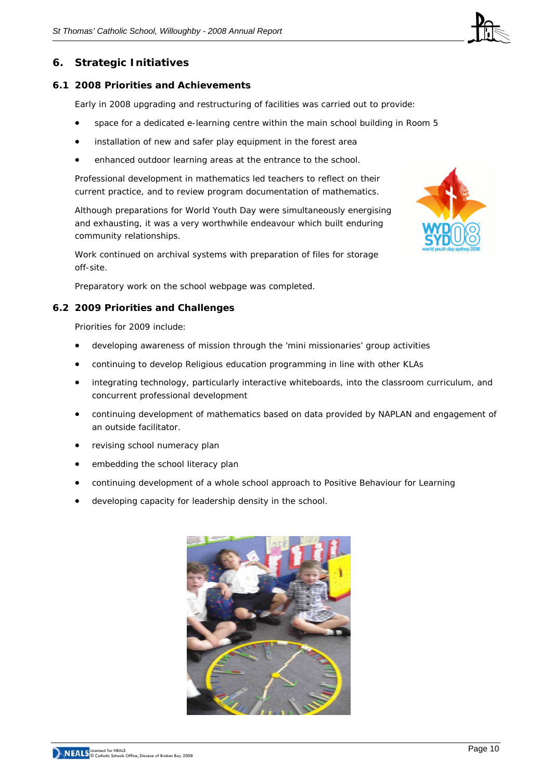![](_page_9_Picture_1.jpeg)

#### **6.1 2008 Priorities and Achievements**

Early in 2008 upgrading and restructuring of facilities was carried out to provide:

- space for a dedicated e-learning centre within the main school building in Room 5
- installation of new and safer play equipment in the forest area
- enhanced outdoor learning areas at the entrance to the school.

Professional development in mathematics led teachers to reflect on their current practice, and to review program documentation of mathematics.

Although preparations for World Youth Day were simultaneously energising and exhausting, it was a very worthwhile endeavour which built enduring community relationships.

Work continued on archival systems with preparation of files for storage off-site.

Preparatory work on the school webpage was completed.

#### **6.2 2009 Priorities and Challenges**

Priorities for 2009 include:

- developing awareness of mission through the 'mini missionaries' group activities
- continuing to develop Religious education programming in line with other KLAs
- integrating technology, particularly interactive whiteboards, into the classroom curriculum, and concurrent professional development
- continuing development of mathematics based on data provided by NAPLAN and engagement of an outside facilitator.
- revising school numeracy plan
- embedding the school literacy plan
- continuing development of a whole school approach to Positive Behaviour for Learning
- developing capacity for leadership density in the school.

![](_page_9_Picture_21.jpeg)

![](_page_9_Picture_22.jpeg)

![](_page_9_Picture_23.jpeg)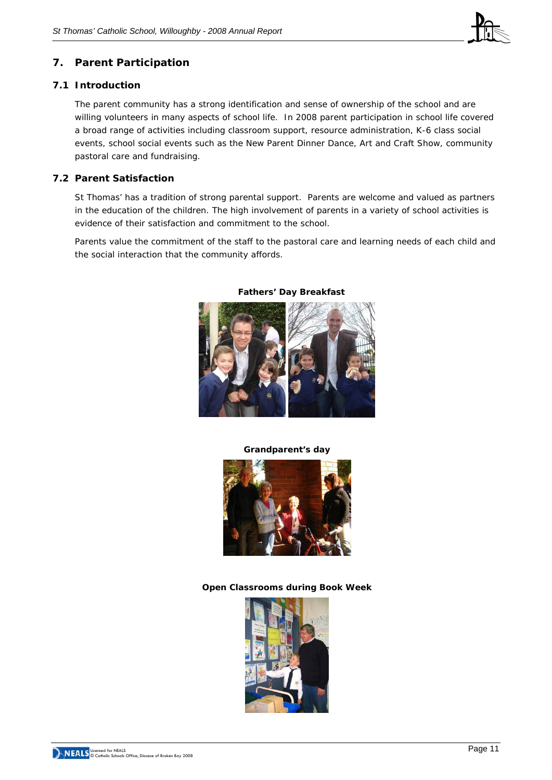![](_page_10_Picture_1.jpeg)

# **7. Parent Participation**

#### **7.1 Introduction**

The parent community has a strong identification and sense of ownership of the school and are willing volunteers in many aspects of school life. In 2008 parent participation in school life covered a broad range of activities including classroom support, resource administration, K-6 class social events, school social events such as the New Parent Dinner Dance, Art and Craft Show, community pastoral care and fundraising.

# **7.2 Parent Satisfaction**

St Thomas' has a tradition of strong parental support. Parents are welcome and valued as partners in the education of the children. The high involvement of parents in a variety of school activities is evidence of their satisfaction and commitment to the school.

Parents value the commitment of the staff to the pastoral care and learning needs of each child and the social interaction that the community affords.

![](_page_10_Picture_8.jpeg)

#### **Fathers' Day Breakfast**

**Grandparent's day** 

![](_page_10_Picture_11.jpeg)

**Open Classrooms during Book Week** 

![](_page_10_Picture_13.jpeg)